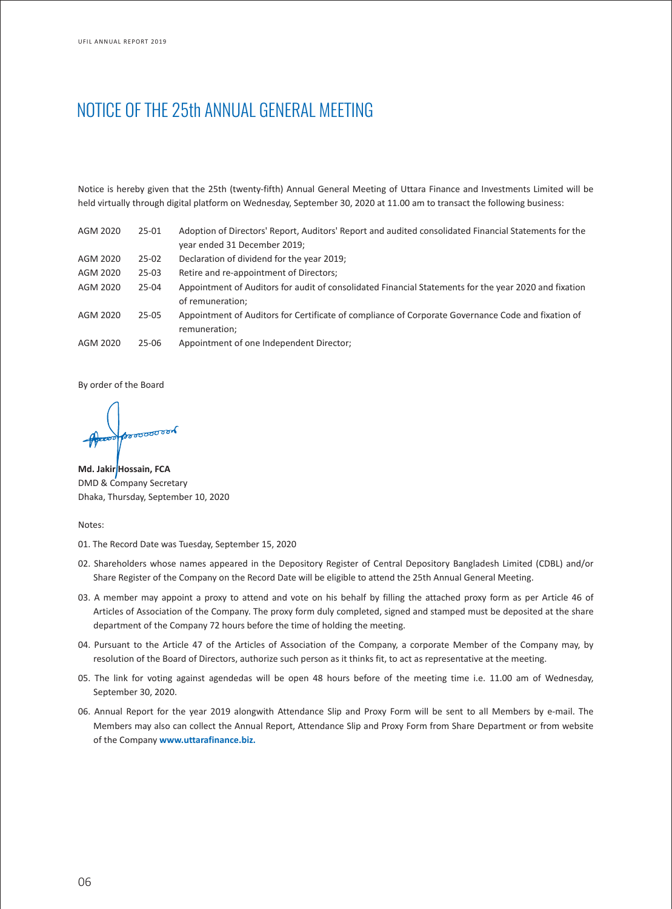# NOTICE OF THE 25th ANNUAL GENERAL MEETING

Notice is hereby given that the 25th (twenty-fifth) Annual General Meeting of Uttara Finance and Investments Limited will be held virtually through digital platform on Wednesday, September 30, 2020 at 11.00 am to transact the following business:

| AGM 2020 | $25 - 01$ | Adoption of Directors' Report, Auditors' Report and audited consolidated Financial Statements for the |
|----------|-----------|-------------------------------------------------------------------------------------------------------|
|          |           | year ended 31 December 2019;                                                                          |
| AGM 2020 | $25-02$   | Declaration of dividend for the year 2019;                                                            |
| AGM 2020 | $25-03$   | Retire and re-appointment of Directors;                                                               |
| AGM 2020 | $25 - 04$ | Appointment of Auditors for audit of consolidated Financial Statements for the year 2020 and fixation |
|          |           | of remuneration;                                                                                      |
| AGM 2020 | $25 - 05$ | Appointment of Auditors for Certificate of compliance of Corporate Governance Code and fixation of    |
|          |           | remuneration;                                                                                         |
| AGM 2020 | $25 - 06$ | Appointment of one Independent Director;                                                              |
|          |           |                                                                                                       |

By order of the Board

ೲೲೲ

**Md. Jakir** Hossain, FCA DMD & Company Secretary Dhaka, Thursday, September 10, 2020

Notes:

- 01. The Record Date was Tuesday, September 15, 2020
- 02. Shareholders whose names appeared in the Depository Register of Central Depository Bangladesh Limited (CDBL) and/or Share Register of the Company on the Record Date will be eligible to attend the 25th Annual General Meeting.
- 03. A member may appoint a proxy to attend and vote on his behalf by filling the attached proxy form as per Article 46 of Articles of Association of the Company. The proxy form duly completed, signed and stamped must be deposited at the share department of the Company 72 hours before the time of holding the meeting.
- 04. Pursuant to the Article 47 of the Articles of Association of the Company, a corporate Member of the Company may, by resolution of the Board of Directors, authorize such person as it thinks fit, to act as representative at the meeting.
- 05. The link for voting against agendedas will be open 48 hours before of the meeting time i.e. 11.00 am of Wednesday, September 30, 2020.
- 06. Annual Report for the year 2019 alongwith Attendance Slip and Proxy Form will be sent to all Members by e-mail. The Members may also can collect the Annual Report, Attendance Slip and Proxy Form from Share Department or from website of the Company **www.uttarafinance.biz.**